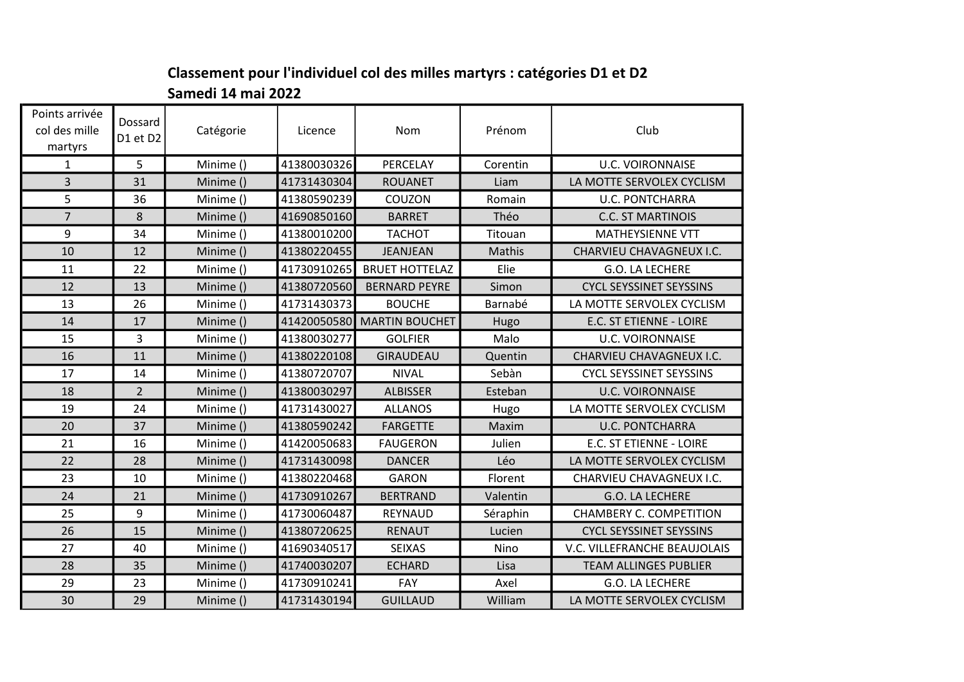## Classement pour l'individuel col des milles martyrs : catégories D1 et D2 Samedi 14 mai 2022

| Points arrivée<br>col des mille<br>martyrs | Dossard<br>D1 et D2 | Catégorie | Licence     | Nom                   | Prénom   | Club                           |
|--------------------------------------------|---------------------|-----------|-------------|-----------------------|----------|--------------------------------|
| $\mathbf 1$                                | 5                   | Minime () | 41380030326 | PERCELAY              | Corentin | <b>U.C. VOIRONNAISE</b>        |
| $\overline{3}$                             | 31                  | Minime () | 41731430304 | <b>ROUANET</b>        | Liam     | LA MOTTE SERVOLEX CYCLISM      |
| 5                                          | 36                  | Minime () | 41380590239 | COUZON                | Romain   | <b>U.C. PONTCHARRA</b>         |
| $\overline{7}$                             | 8                   | Minime () | 41690850160 | <b>BARRET</b>         | Théo     | <b>C.C. ST MARTINOIS</b>       |
| 9                                          | 34                  | Minime () | 41380010200 | <b>TACHOT</b>         | Titouan  | <b>MATHEYSIENNE VTT</b>        |
| 10                                         | 12                  | Minime () | 41380220455 | <b>JEANJEAN</b>       | Mathis   | CHARVIEU CHAVAGNEUX I.C.       |
| 11                                         | 22                  | Minime () | 41730910265 | <b>BRUET HOTTELAZ</b> | Elie     | G.O. LA LECHERE                |
| 12                                         | 13                  | Minime () | 41380720560 | <b>BERNARD PEYRE</b>  | Simon    | <b>CYCL SEYSSINET SEYSSINS</b> |
| 13                                         | 26                  | Minime () | 41731430373 | <b>BOUCHE</b>         | Barnabé  | LA MOTTE SERVOLEX CYCLISM      |
| 14                                         | 17                  | Minime () | 41420050580 | <b>MARTIN BOUCHET</b> | Hugo     | E.C. ST ETIENNE - LOIRE        |
| 15                                         | 3                   | Minime () | 41380030277 | <b>GOLFIER</b>        | Malo     | <b>U.C. VOIRONNAISE</b>        |
| 16                                         | 11                  | Minime () | 41380220108 | GIRAUDEAU             | Quentin  | CHARVIEU CHAVAGNEUX I.C.       |
| 17                                         | 14                  | Minime () | 41380720707 | <b>NIVAL</b>          | Sebàn    | <b>CYCL SEYSSINET SEYSSINS</b> |
| 18                                         | $\overline{2}$      | Minime () | 41380030297 | <b>ALBISSER</b>       | Esteban  | <b>U.C. VOIRONNAISE</b>        |
| 19                                         | 24                  | Minime () | 41731430027 | <b>ALLANOS</b>        | Hugo     | LA MOTTE SERVOLEX CYCLISM      |
| 20                                         | 37                  | Minime () | 41380590242 | <b>FARGETTE</b>       | Maxim    | <b>U.C. PONTCHARRA</b>         |
| 21                                         | 16                  | Minime () | 41420050683 | <b>FAUGERON</b>       | Julien   | E.C. ST ETIENNE - LOIRE        |
| 22                                         | 28                  | Minime () | 41731430098 | <b>DANCER</b>         | Léo      | LA MOTTE SERVOLEX CYCLISM      |
| 23                                         | 10                  | Minime () | 41380220468 | <b>GARON</b>          | Florent  | CHARVIEU CHAVAGNEUX I.C.       |
| 24                                         | 21                  | Minime () | 41730910267 | <b>BERTRAND</b>       | Valentin | G.O. LA LECHERE                |
| 25                                         | 9                   | Minime () | 41730060487 | REYNAUD               | Séraphin | CHAMBERY C. COMPETITION        |
| 26                                         | 15                  | Minime () | 41380720625 | <b>RENAUT</b>         | Lucien   | <b>CYCL SEYSSINET SEYSSINS</b> |
| 27                                         | 40                  | Minime () | 41690340517 | <b>SEIXAS</b>         | Nino     | V.C. VILLEFRANCHE BEAUJOLAIS   |
| 28                                         | 35                  | Minime () | 41740030207 | <b>ECHARD</b>         | Lisa     | <b>TEAM ALLINGES PUBLIER</b>   |
| 29                                         | 23                  | Minime () | 41730910241 | FAY                   | Axel     | G.O. LA LECHERE                |
| 30                                         | 29                  | Minime () | 41731430194 | <b>GUILLAUD</b>       | William  | LA MOTTE SERVOLEX CYCLISM      |